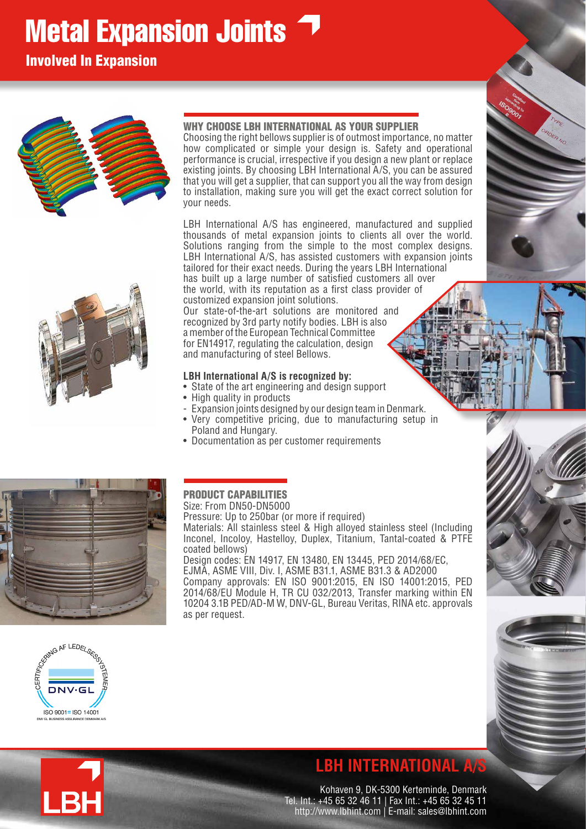# **Metal Expansion Joints 7**

Involved In Expansion



## WHY CHOOSE LBH INTERNATIONAL AS YOUR SUPPLIER

Choosing the right bellows supplier is of outmost importance, no matter how complicated or simple your design is. Safety and operational performance is crucial, irrespective if you design a new plant or replace existing joints. By choosing LBH International A/S, you can be assured that you will get a supplier, that can support you all the way from design to installation, making sure you will get the exact correct solution for your needs.

LBH International A/S has engineered, manufactured and supplied thousands of metal expansion joints to clients all over the world. Solutions ranging from the simple to the most complex designs. LBH International A/S, has assisted customers with expansion joints tailored for their exact needs. During the years LBH International has built up a large number of satisfied customers all over the world, with its reputation as a first class provider of

customized expansion joint solutions. Our state-of-the-art solutions are monitored and recognized by 3rd party notify bodies. LBH is also a member of the European Technical Committee for EN14917, regulating the calculation, design and manufacturing of steel Bellows.

### **LBH International A/S is recognized by:**

- State of the art engineering and design support
- High quality in products
- Expansion joints designed by our design team in Denmark.
- Very competitive pricing, due to manufacturing setup in Poland and Hungary.
- Documentation as per customer requirements



#### PRODUCT CAPABILITIES Size: From DN50-DN5000

Pressure: Up to 250bar (or more if required) Materials: All stainless steel & High alloyed stainless steel (Including Inconel, Incoloy, Hastelloy, Duplex, Titanium, Tantal-coated & PTFE coated bellows) Design codes: EN 14917, EN 13480, EN 13445, PED 2014/68/EC, EJMA, ASME VIII, Div. I, ASME B31.1, ASME B31.3 & AD2000

Company approvals: EN ISO 9001:2015, EN ISO 14001:2015, PED 2014/68/EU Module H, TR CU 032/2013, Transfer marking within EN 10204 3.1B PED/AD-M W, DNV-GL, Bureau Veritas, RINA etc. approvals as per request.



LBH

## **LBH INTERNATIONAL A/S**

Kohaven 9, DK-5300 Kerteminde, Denmark Tel. Int.: +45 65 32 46 11 | Fax Int.: +45 65 32 45 11 http://www.lbhint.com | E-mail: sales@lbhint.com